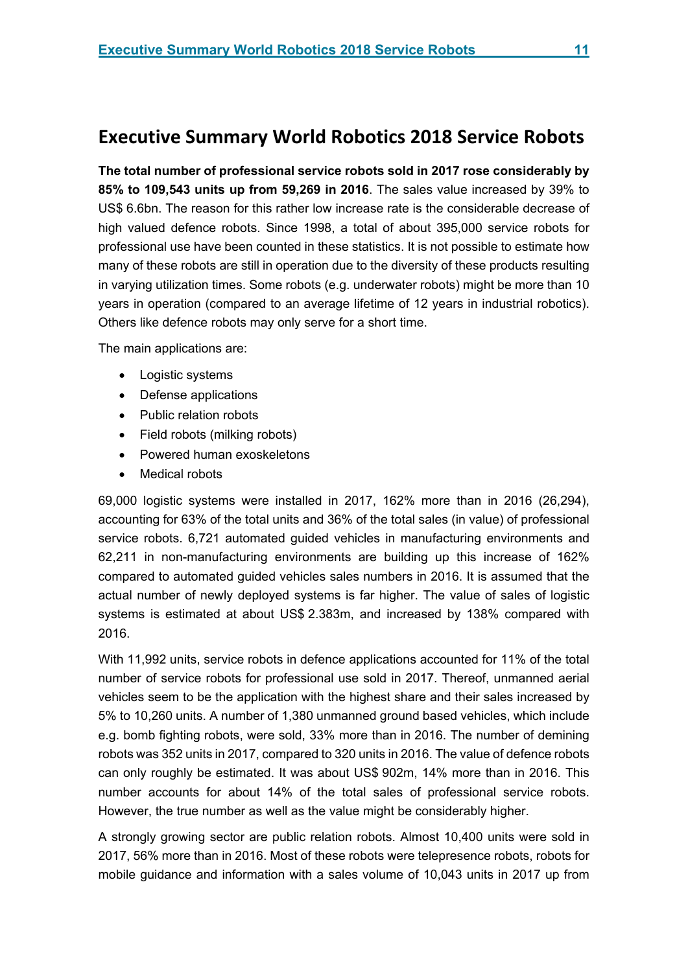# **Executive Summary World Robotics 2018 Service Robots**

**The total number of professional service robots sold in 2017 rose considerably by 85% to 109,543 units up from 59,269 in 2016**. The sales value increased by 39% to US\$ 6.6bn. The reason for this rather low increase rate is the considerable decrease of high valued defence robots. Since 1998, a total of about 395,000 service robots for professional use have been counted in these statistics. It is not possible to estimate how many of these robots are still in operation due to the diversity of these products resulting in varying utilization times. Some robots (e.g. underwater robots) might be more than 10 years in operation (compared to an average lifetime of 12 years in industrial robotics). Others like defence robots may only serve for a short time.

The main applications are:

- Logistic systems
- Defense applications
- Public relation robots
- Field robots (milking robots)
- Powered human exoskeletons
- Medical robots

69,000 logistic systems were installed in 2017, 162% more than in 2016 (26,294), accounting for 63% of the total units and 36% of the total sales (in value) of professional service robots. 6,721 automated guided vehicles in manufacturing environments and 62,211 in non-manufacturing environments are building up this increase of 162% compared to automated guided vehicles sales numbers in 2016. It is assumed that the actual number of newly deployed systems is far higher. The value of sales of logistic systems is estimated at about US\$ 2.383m, and increased by 138% compared with 2016.

With 11,992 units, service robots in defence applications accounted for 11% of the total number of service robots for professional use sold in 2017. Thereof, unmanned aerial vehicles seem to be the application with the highest share and their sales increased by 5% to 10,260 units. A number of 1,380 unmanned ground based vehicles, which include e.g. bomb fighting robots, were sold, 33% more than in 2016. The number of demining robots was 352 units in 2017, compared to 320 units in 2016. The value of defence robots can only roughly be estimated. It was about US\$ 902m, 14% more than in 2016. This number accounts for about 14% of the total sales of professional service robots. However, the true number as well as the value might be considerably higher.

A strongly growing sector are public relation robots. Almost 10,400 units were sold in 2017, 56% more than in 2016. Most of these robots were telepresence robots, robots for mobile guidance and information with a sales volume of 10,043 units in 2017 up from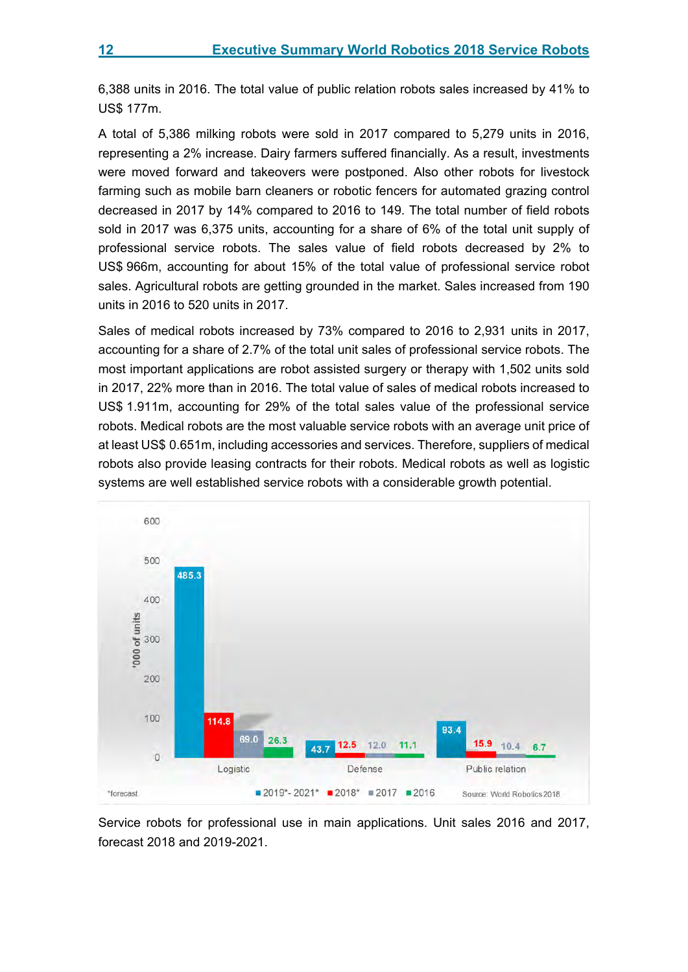6,388 units in 2016. The total value of public relation robots sales increased by 41% to US\$ 177m.

A total of 5,386 milking robots were sold in 2017 compared to 5,279 units in 2016, representing a 2% increase. Dairy farmers suffered financially. As a result, investments were moved forward and takeovers were postponed. Also other robots for livestock farming such as mobile barn cleaners or robotic fencers for automated grazing control decreased in 2017 by 14% compared to 2016 to 149. The total number of field robots sold in 2017 was 6,375 units, accounting for a share of 6% of the total unit supply of professional service robots. The sales value of field robots decreased by 2% to US\$ 966m, accounting for about 15% of the total value of professional service robot sales. Agricultural robots are getting grounded in the market. Sales increased from 190 units in 2016 to 520 units in 2017.

Sales of medical robots increased by 73% compared to 2016 to 2,931 units in 2017, accounting for a share of 2.7% of the total unit sales of professional service robots. The most important applications are robot assisted surgery or therapy with 1,502 units sold in 2017, 22% more than in 2016. The total value of sales of medical robots increased to US\$ 1.911m, accounting for 29% of the total sales value of the professional service robots. Medical robots are the most valuable service robots with an average unit price of at least US\$ 0.651m, including accessories and services. Therefore, suppliers of medical robots also provide leasing contracts for their robots. Medical robots as well as logistic systems are well established service robots with a considerable growth potential.



Service robots for professional use in main applications. Unit sales 2016 and 2017, forecast 2018 and 2019-2021.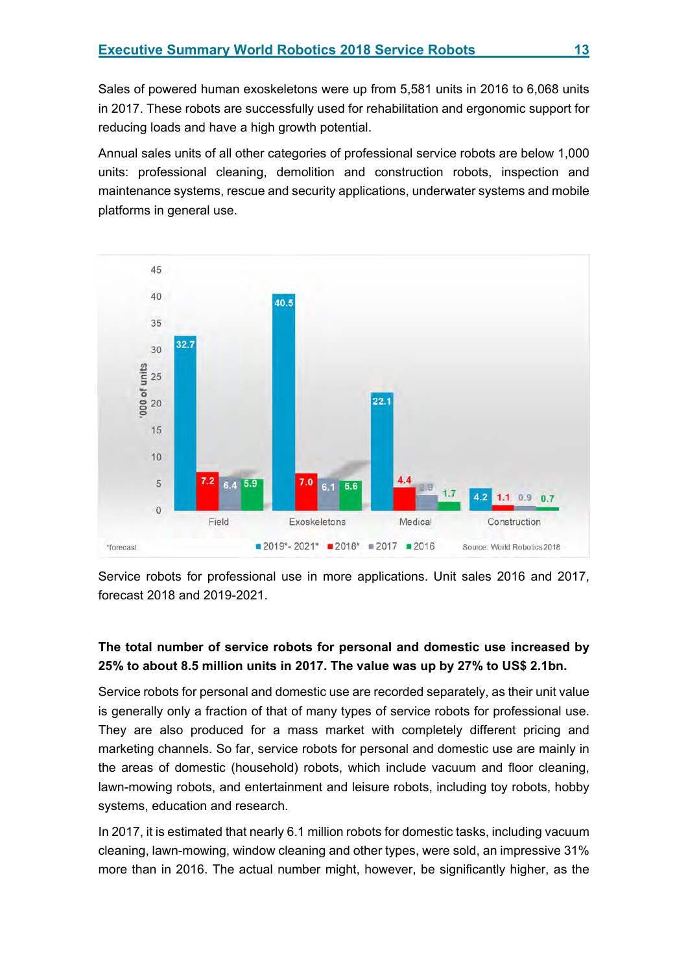Sales of powered human exoskeletons were up from 5,581 units in 2016 to 6,068 units in 2017. These robots are successfully used for rehabilitation and ergonomic support for reducing loads and have a high growth potential.

Annual sales units of all other categories of professional service robots are below 1,000 units: professional cleaning, demolition and construction robots, inspection and maintenance systems, rescue and security applications, underwater systems and mobile platforms in general use.



Service robots for professional use in more applications. Unit sales 2016 and 2017, forecast 2018 and 2019-2021.

# **The total number of service robots for personal and domestic use increased by 25% to about 8.5 million units in 2017. The value was up by 27% to US\$ 2.1bn.**

Service robots for personal and domestic use are recorded separately, as their unit value is generally only a fraction of that of many types of service robots for professional use. They are also produced for a mass market with completely different pricing and marketing channels. So far, service robots for personal and domestic use are mainly in the areas of domestic (household) robots, which include vacuum and floor cleaning, lawn-mowing robots, and entertainment and leisure robots, including toy robots, hobby systems, education and research.

In 2017, it is estimated that nearly 6.1 million robots for domestic tasks, including vacuum cleaning, lawn-mowing, window cleaning and other types, were sold, an impressive 31% more than in 2016. The actual number might, however, be significantly higher, as the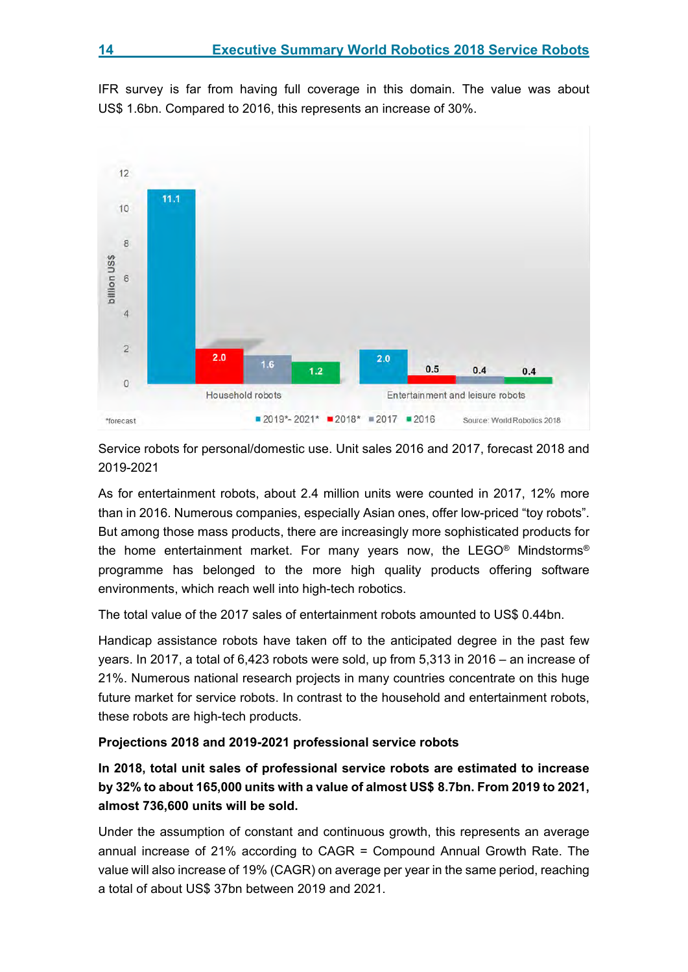IFR survey is far from having full coverage in this domain. The value was about US\$ 1.6bn. Compared to 2016, this represents an increase of 30%.



Service robots for personal/domestic use. Unit sales 2016 and 2017, forecast 2018 and 2019-2021

As for entertainment robots, about 2.4 million units were counted in 2017, 12% more than in 2016. Numerous companies, especially Asian ones, offer low-priced "toy robots". But among those mass products, there are increasingly more sophisticated products for the home entertainment market. For many years now, the LEGO® Mindstorms® programme has belonged to the more high quality products offering software environments, which reach well into high-tech robotics.

The total value of the 2017 sales of entertainment robots amounted to US\$ 0.44bn.

Handicap assistance robots have taken off to the anticipated degree in the past few years. In 2017, a total of 6,423 robots were sold, up from 5,313 in 2016 – an increase of 21%. Numerous national research projects in many countries concentrate on this huge future market for service robots. In contrast to the household and entertainment robots, these robots are high-tech products.

# **Projections 2018 and 2019-2021 professional service robots**

**In 2018, total unit sales of professional service robots are estimated to increase by 32% to about 165,000 units with a value of almost US\$ 8.7bn. From 2019 to 2021, almost 736,600 units will be sold.** 

Under the assumption of constant and continuous growth, this represents an average annual increase of 21% according to CAGR = Compound Annual Growth Rate. The value will also increase of 19% (CAGR) on average per year in the same period, reaching a total of about US\$ 37bn between 2019 and 2021.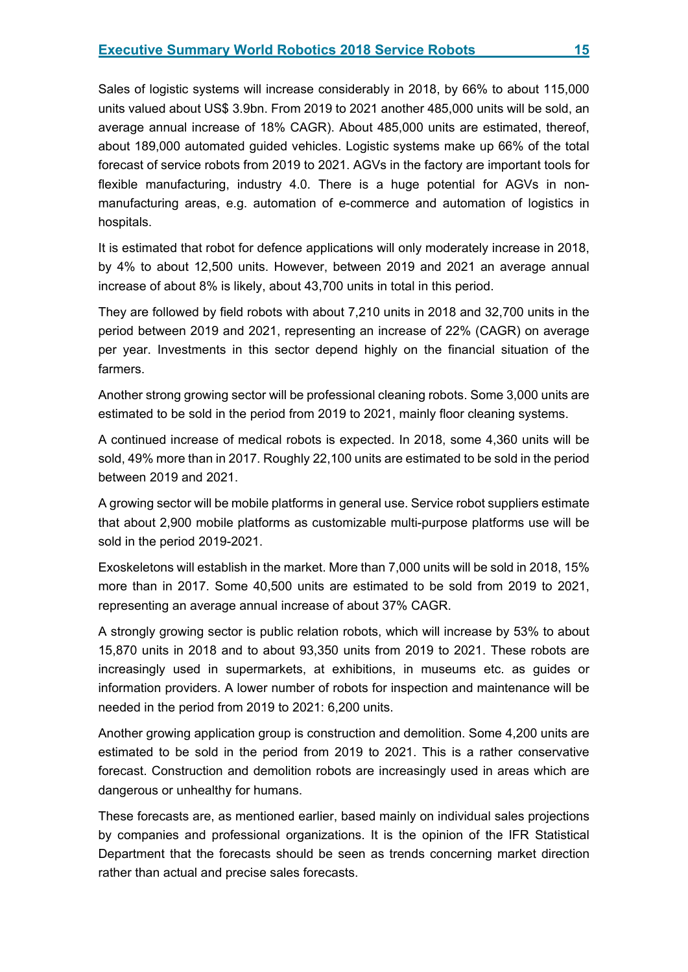Sales of logistic systems will increase considerably in 2018, by 66% to about 115,000 units valued about US\$ 3.9bn. From 2019 to 2021 another 485,000 units will be sold, an average annual increase of 18% CAGR). About 485,000 units are estimated, thereof, about 189,000 automated guided vehicles. Logistic systems make up 66% of the total forecast of service robots from 2019 to 2021. AGVs in the factory are important tools for flexible manufacturing, industry 4.0. There is a huge potential for AGVs in nonmanufacturing areas, e.g. automation of e-commerce and automation of logistics in hospitals.

It is estimated that robot for defence applications will only moderately increase in 2018, by 4% to about 12,500 units. However, between 2019 and 2021 an average annual increase of about 8% is likely, about 43,700 units in total in this period.

They are followed by field robots with about 7,210 units in 2018 and 32,700 units in the period between 2019 and 2021, representing an increase of 22% (CAGR) on average per year. Investments in this sector depend highly on the financial situation of the farmers.

Another strong growing sector will be professional cleaning robots. Some 3,000 units are estimated to be sold in the period from 2019 to 2021, mainly floor cleaning systems.

A continued increase of medical robots is expected. In 2018, some 4,360 units will be sold, 49% more than in 2017. Roughly 22,100 units are estimated to be sold in the period between 2019 and 2021.

A growing sector will be mobile platforms in general use. Service robot suppliers estimate that about 2,900 mobile platforms as customizable multi-purpose platforms use will be sold in the period 2019-2021.

Exoskeletons will establish in the market. More than 7,000 units will be sold in 2018, 15% more than in 2017. Some 40,500 units are estimated to be sold from 2019 to 2021, representing an average annual increase of about 37% CAGR.

A strongly growing sector is public relation robots, which will increase by 53% to about 15,870 units in 2018 and to about 93,350 units from 2019 to 2021. These robots are increasingly used in supermarkets, at exhibitions, in museums etc. as guides or information providers. A lower number of robots for inspection and maintenance will be needed in the period from 2019 to 2021: 6,200 units.

Another growing application group is construction and demolition. Some 4,200 units are estimated to be sold in the period from 2019 to 2021. This is a rather conservative forecast. Construction and demolition robots are increasingly used in areas which are dangerous or unhealthy for humans.

These forecasts are, as mentioned earlier, based mainly on individual sales projections by companies and professional organizations. It is the opinion of the IFR Statistical Department that the forecasts should be seen as trends concerning market direction rather than actual and precise sales forecasts.